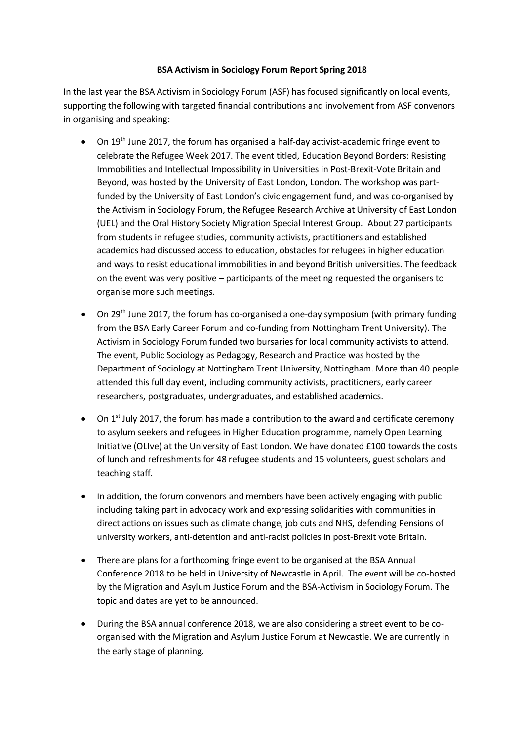## **BSA Activism in Sociology Forum Report Spring 2018**

In the last year the BSA Activism in Sociology Forum (ASF) has focused significantly on local events, supporting the following with targeted financial contributions and involvement from ASF convenors in organising and speaking:

- On  $19<sup>th</sup>$  June 2017, the forum has organised a half-day activist-academic fringe event to celebrate the Refugee Week 2017. The event titled, Education Beyond Borders: Resisting Immobilities and Intellectual Impossibility in Universities in Post-Brexit-Vote Britain and Beyond, was hosted by the University of East London, London. The workshop was partfunded by the University of East London's civic engagement fund, and was co-organised by the Activism in Sociology Forum, the Refugee Research Archive at University of East London (UEL) and the Oral History Society Migration Special Interest Group. About 27 participants from students in refugee studies, community activists, practitioners and established academics had discussed access to education, obstacles for refugees in higher education and ways to resist educational immobilities in and beyond British universities. The feedback on the event was very positive – participants of the meeting requested the organisers to organise more such meetings.
- On 29<sup>th</sup> June 2017, the forum has co-organised a one-day symposium (with primary funding from the BSA Early Career Forum and co-funding from Nottingham Trent University). The Activism in Sociology Forum funded two bursaries for local community activists to attend. The event, Public Sociology as Pedagogy, Research and Practice was hosted by the Department of Sociology at Nottingham Trent University, Nottingham. More than 40 people attended this full day event, including community activists, practitioners, early career researchers, postgraduates, undergraduates, and established academics.
- On  $1<sup>st</sup>$  July 2017, the forum has made a contribution to the award and certificate ceremony to asylum seekers and refugees in Higher Education programme, namely Open Learning Initiative (OLIve) at the University of East London. We have donated £100 towards the costs of lunch and refreshments for 48 refugee students and 15 volunteers, guest scholars and teaching staff.
- In addition, the forum convenors and members have been actively engaging with public including taking part in advocacy work and expressing solidarities with communities in direct actions on issues such as climate change, job cuts and NHS, defending Pensions of university workers, anti-detention and anti-racist policies in post-Brexit vote Britain.
- There are plans for a forthcoming fringe event to be organised at the BSA Annual Conference 2018 to be held in University of Newcastle in April. The event will be co-hosted by the Migration and Asylum Justice Forum and the BSA-Activism in Sociology Forum. The topic and dates are yet to be announced.
- During the BSA annual conference 2018, we are also considering a street event to be coorganised with the Migration and Asylum Justice Forum at Newcastle. We are currently in the early stage of planning.